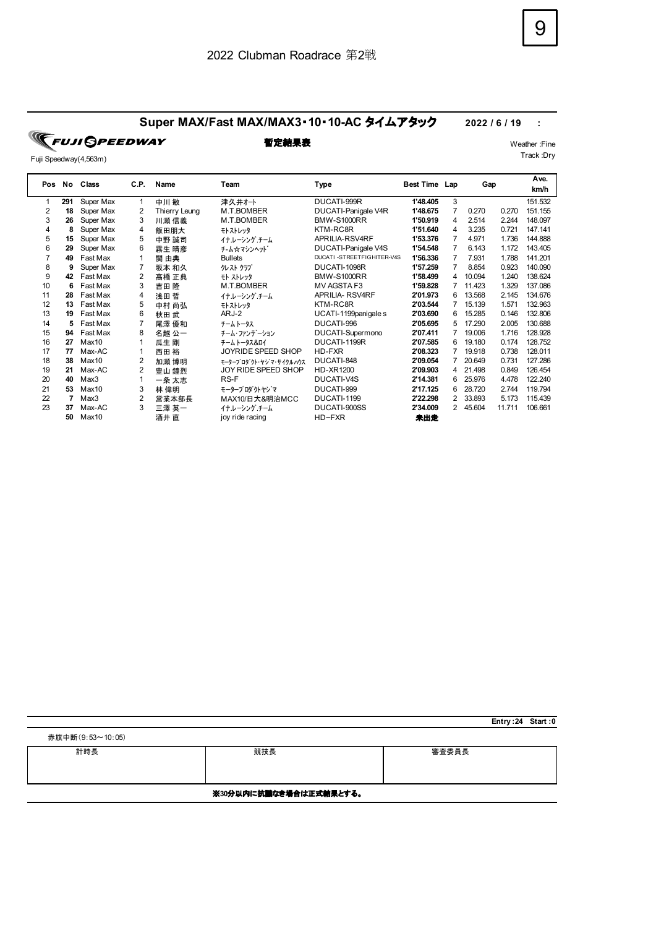## **Super MAX/Fast MAX/MAX3**・**10**・**10-AC** タイムアタック **2022 / 6 / 19 :**

**FUJI GPEEDWAY** Fuji Speedway(4,563m)

|     |     | Class             | C.P. |               |                       | Team                       |               |                |        | Ave.   |         |
|-----|-----|-------------------|------|---------------|-----------------------|----------------------------|---------------|----------------|--------|--------|---------|
| Pos | No  |                   |      | Name          |                       | Type                       | Best Time Lap |                | Gap    |        | km/h    |
| 1   | 291 | Super Max         | 1    | 中川敏           | 津久井オート                | DUCATI-999R                | 1'48.405      | 3              |        |        | 151.532 |
| 2   | 18  | Super Max         | 2    | Thierry Leung | M.T.BOMBER            | DUCATI-Panigale V4R        | 1'48.675      | 7              | 0.270  | 0.270  | 151.155 |
| 3   | 26  | Super Max         | 3    | 川瀬 信義         | M.T.BOMBER            | <b>BMW-S1000RR</b>         | 1'50.919      | 4              | 2.514  | 2.244  | 148.097 |
| 4   | 8   | Super Max         | 4    | 飯田朋大          | モトストレッタ               | KTM-RC8R                   | 1'51.640      | 4              | 3.235  | 0.721  | 147.141 |
| 5   | 15  | Super Max         | 5    | 中野 誠司         | イナ・レーシング・チーム          | APRILIA-RSV4RF             | 1'53.376      | 7              | 4.971  | 1.736  | 144.888 |
| 6   | 29  | Super Max         | 6    | 霧生 晴彦         | チ‐ム☆マシンヘット゛           | DUCATI-Panigale V4S        | 1'54.548      | 7              | 6.143  | 1.172  | 143.405 |
|     | 49  | Fast Max          |      | 関 由典          | <b>Bullets</b>        | DUCATI -STREETFIGHITER-V4S | 1'56.336      | 7              | 7.931  | 1.788  | 141.201 |
| 8   | 9   | Super Max         |      | 坂本 和久         | クレスト クラブ              | DUCATI-1098R               | 1'57.259      | $\overline{7}$ | 8.854  | 0.923  | 140.090 |
| 9   | 42  | Fast Max          | 2    | 高橋 正典         | モト ストレッタ              | <b>BMW-S1000RR</b>         | 1'58.499      | 4              | 10.094 | 1.240  | 138.624 |
| 10  | 6   | Fast Max          | 3    | 吉田 隆          | M.T.BOMBER            | MV AGSTA F3                | 1'59.828      |                | 11.423 | 1.329  | 137.086 |
| 11  | 28  | Fast Max          | 4    | 浅田 哲          | イナ・レーシング・チーム          | <b>APRILIA- RSV4RF</b>     | 2'01.973      | 6              | 13.568 | 2.145  | 134.676 |
| 12  | 13  | Fast Max          | 5    | 中村 尚弘         | モトストレッタ               | KTM-RC8R                   | 2'03.544      |                | 15.139 | 1.571  | 132.963 |
| 13  | 19  | Fast Max          | 6    | 秋田 武          | ARJ-2                 | UCATI-1199panigale s       | 2'03.690      | 6              | 15.285 | 0.146  | 132.806 |
| 14  | 5   | Fast Max          | 7    | 尾澤 優和         | チームトータス               | DUCATI-996                 | 2'05.695      | 5              | 17.290 | 2.005  | 130.688 |
| 15  | 94  | Fast Max          | 8    | 名越 公一         | チーム・ファンデーション          | DUCATI-Supermono           | 2'07.411      |                | 19.006 | 1.716  | 128.928 |
| 16  | 27  | Max <sub>10</sub> |      | 瓜生 剛          | チームトータス&ロイ            | DUCATI-1199R               | 2'07.585      | 6              | 19.180 | 0.174  | 128.752 |
| 17  | 77  | Max-AC            |      | 西田 裕          | JOYRIDE SPEED SHOP    | HD-FXR                     | 2'08.323      |                | 19.918 | 0.738  | 128.011 |
| 18  | 38  | Max <sub>10</sub> | 2    | 加瀬 博明         | モータープロダウト・ヤジマ・サイクルハウス | DUCATI-848                 | 2'09.054      |                | 20.649 | 0.731  | 127.286 |
| 19  | 21  | Max-AC            | 2    | 豊山 鐘烈         | JOY RIDE SPEED SHOP   | HD-XR1200                  | 2'09.903      | 4              | 21.498 | 0.849  | 126.454 |
| 20  | 40  | Max3              |      | 一条 太志         | RS-F                  | <b>DUCATI-V4S</b>          | 2'14.381      | 6              | 25.976 | 4.478  | 122.240 |
| 21  | 53  | Max <sub>10</sub> | 3    | 林 偉明          | モータープログクトヤジマ          | DUCATI-999                 | 2'17.125      | 6              | 28.720 | 2.744  | 119.794 |
| 22  |     | Max3              | 2    | 営業本部長         | MAX10/日大&明治MCC        | <b>DUCATI-1199</b>         | 2'22.298      | 2              | 33.893 | 5.173  | 115.439 |
| 23  | 37  | Max-AC            | 3    | 三澤 英一         | イナ・レーシング・チーム          | DUCATI-900SS               | 2'34.009      | 2              | 45.604 | 11.711 | 106.661 |
|     | 50  | Max10             |      | 酒井 直          | joy ride racing       | $HD-FXR$                   | 未出走           |                |        |        |         |

| 赤旗中断(9:53~10:05) |                        |       |
|------------------|------------------------|-------|
| 計時長              | 競技長                    | 審査委員長 |
|                  |                        |       |
|                  | ※30分以内に抗議なき場合は正式結果とする。 |       |

**Entry :24 Start :0**

Track :Dry

**暫定結果表** Weather :Fine